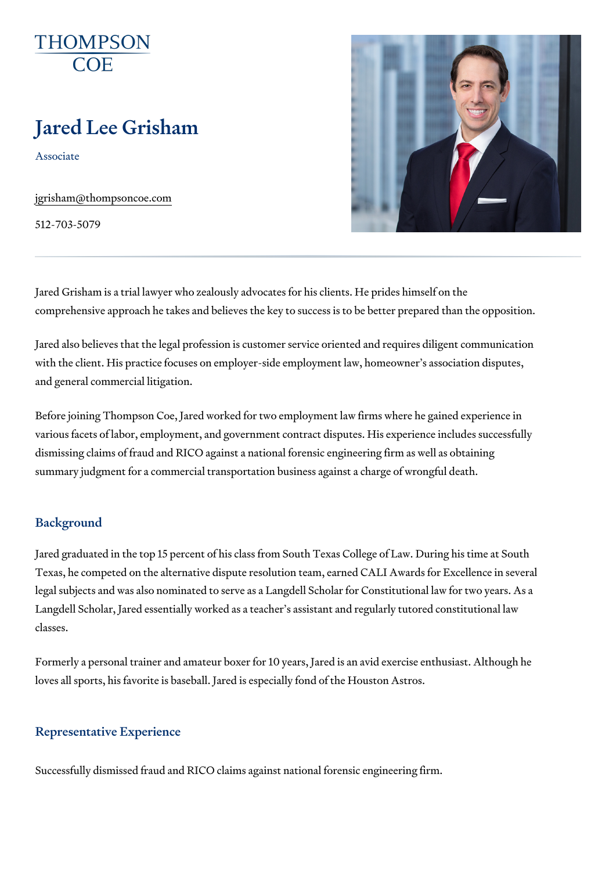# Jared Lee Grisham

Associate

[jgrisham@thompso](mailto:jgrisham@thompsoncoe.com)ncoe.com

512-703-5079

Jared Grisham is a trial lawyer who zealously advocates for his clients. He comprehensive approach he takes and believes the key to success is to be

Jared also believes that the legal profession is customer service oriented with the client. His practice focuses on employer-side employment law, hor and general commercial litigation.

Before joining Thompson Coe, Jared worked for two employment law firms various facets of labor, employment, and government contract disputes. Hi dismissing claims of fraud and RICO against a national forensic engineering summary judgment for a commercial transportation business against a char

#### Background

Jared graduated in the top 15 percent of his class from South Texas Colleg Texas, he competed on the alternative dispute resolution team, earned CAI legal subjects and was also nominated to serve as a Langdell Scholar for ( Langdell Scholar, Jared essentially worked as a teacher s assistant and re classes.

Formerly a personal trainer and amateur boxer for 10 years, Jared is an avid Former loves all sports, his favorite is baseball. Jared is especially fond of the H

### Representative Experience

Successfully dismissed fraud and RICO claims against national forensic en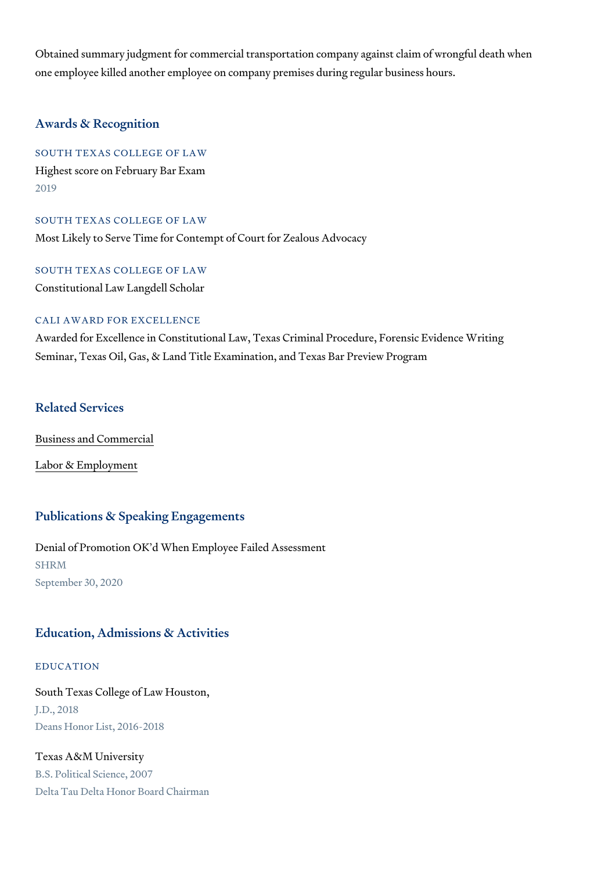Obtained summary judgment for commercial transportation company agains one employee killed another employee on company premises during regular

## Awards & Recognition

SOUTH TEXAS COLLEGE OF LAW Highest score on February Bar Exam 2019

SOUTH TEXAS COLLEGE OF LAW Most Likely to Serve Time for Contempt of Court for Zealous Advocacy

SOUTH TEXAS COLLEGE OF LAW Constitutional Law Langdell Scholar

#### CALI AWARD FOR EXCELLENCE

Awarded for Excellence in Constitutional Law, Texas Criminal Procedure, F Seminar, Texas Oil, Gas, & Land Title Examination, and Texas Bar Preview

# Related Services

[Business and C](https://www.thompsoncoe.com/people/jared-lee-grisham/)ommercial

[Labor & Empl](https://www.thompsoncoe.com/people/jared-lee-grisham/)oyment

# Publications & Speaking Engagements

Denial of Promotion OK d When Employee Failed Assessment SHRM September 30, 2020

#### Education, Admissions & Activities

### EDUCATION

South Texas College of Law Houston, J.D., 2018 Deans Honor List, 2016-2018

Texas A&M University B.S. Political Science, 2007 Delta Tau Delta Honor Board Chairman